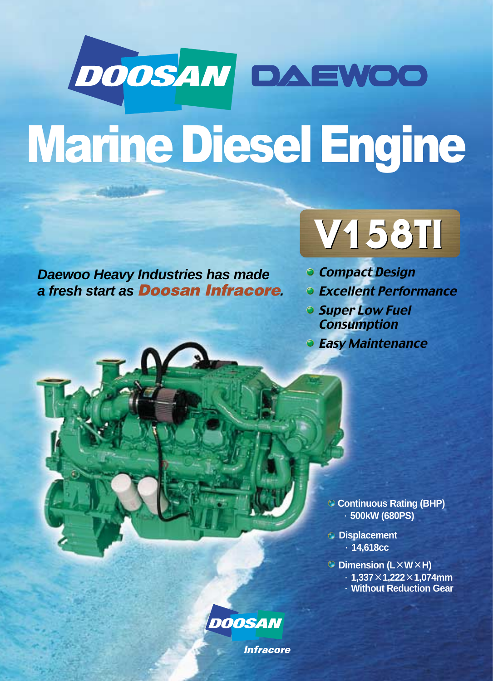# DOOSAN DAEWOO Marine Diesel Engine

**Daewoo Heavy Industries has made a fresh start as Doosan Infracore.**



- **Compact Design**
- **Excellent Performance**
- **Super Low Fuel Consumption**
- **Easy Maintenance**

**Continuous Rating (BHP)** ·**500kW (680PS)** 

- **Displacement** ·**14,618cc**
- **Dimension (L×W×H)** 
	- ·**1,337×1,222×1,074mm**
	- ·**Without Reduction Gear**



**Infracore**